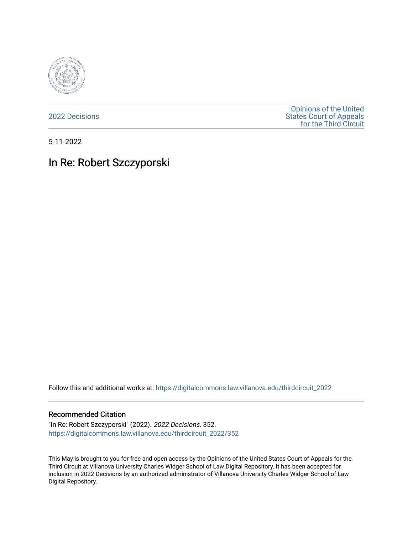

[2022 Decisions](https://digitalcommons.law.villanova.edu/thirdcircuit_2022)

[Opinions of the United](https://digitalcommons.law.villanova.edu/thirdcircuit)  [States Court of Appeals](https://digitalcommons.law.villanova.edu/thirdcircuit)  [for the Third Circuit](https://digitalcommons.law.villanova.edu/thirdcircuit) 

5-11-2022

# In Re: Robert Szczyporski

Follow this and additional works at: [https://digitalcommons.law.villanova.edu/thirdcircuit\\_2022](https://digitalcommons.law.villanova.edu/thirdcircuit_2022?utm_source=digitalcommons.law.villanova.edu%2Fthirdcircuit_2022%2F352&utm_medium=PDF&utm_campaign=PDFCoverPages) 

#### Recommended Citation

"In Re: Robert Szczyporski" (2022). 2022 Decisions. 352. [https://digitalcommons.law.villanova.edu/thirdcircuit\\_2022/352](https://digitalcommons.law.villanova.edu/thirdcircuit_2022/352?utm_source=digitalcommons.law.villanova.edu%2Fthirdcircuit_2022%2F352&utm_medium=PDF&utm_campaign=PDFCoverPages)

This May is brought to you for free and open access by the Opinions of the United States Court of Appeals for the Third Circuit at Villanova University Charles Widger School of Law Digital Repository. It has been accepted for inclusion in 2022 Decisions by an authorized administrator of Villanova University Charles Widger School of Law Digital Repository.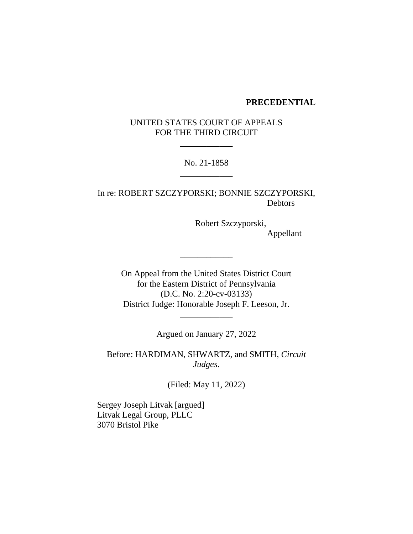#### **PRECEDENTIAL**

# UNITED STATES COURT OF APPEALS FOR THE THIRD CIRCUIT

\_\_\_\_\_\_\_\_\_\_\_\_

## No. 21-1858 \_\_\_\_\_\_\_\_\_\_\_\_

In re: ROBERT SZCZYPORSKI; BONNIE SZCZYPORSKI, **Debtors** 

> Robert Szczyporski, Appellant

On Appeal from the United States District Court for the Eastern District of Pennsylvania (D.C. No. 2:20-cv-03133) District Judge: Honorable Joseph F. Leeson, Jr.

\_\_\_\_\_\_\_\_\_\_\_\_

Argued on January 27, 2022

\_\_\_\_\_\_\_\_\_\_\_\_

Before: HARDIMAN, SHWARTZ, and SMITH, *Circuit Judges*.

(Filed: May 11, 2022)

Sergey Joseph Litvak [argued] Litvak Legal Group, PLLC 3070 Bristol Pike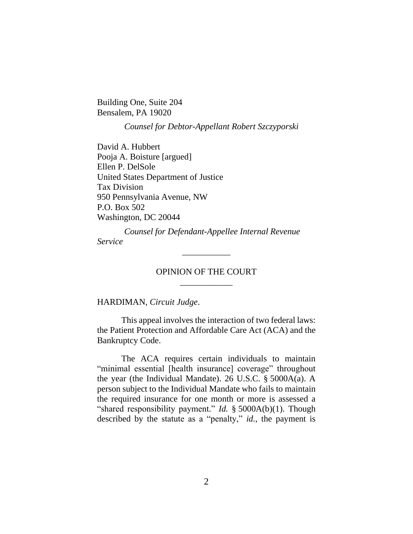Building One, Suite 204 Bensalem, PA 19020

*Counsel for Debtor-Appellant Robert Szczyporski*

David A. Hubbert Pooja A. Boisture [argued] Ellen P. DelSole United States Department of Justice Tax Division 950 Pennsylvania Avenue, NW P.O. Box 502 Washington, DC 20044

*Counsel for Defendant-Appellee Internal Revenue Service*

## OPINION OF THE COURT \_\_\_\_\_\_\_\_\_\_\_\_

\_\_\_\_\_\_\_\_\_\_\_

HARDIMAN, *Circuit Judge*.

This appeal involves the interaction of two federal laws: the Patient Protection and Affordable Care Act (ACA) and the Bankruptcy Code.

The ACA requires certain individuals to maintain "minimal essential [health insurance] coverage" throughout the year (the Individual Mandate). 26 U.S.C. § 5000A(a). A person subject to the Individual Mandate who fails to maintain the required insurance for one month or more is assessed a "shared responsibility payment." *Id.* § 5000A(b)(1). Though described by the statute as a "penalty," *id.*, the payment is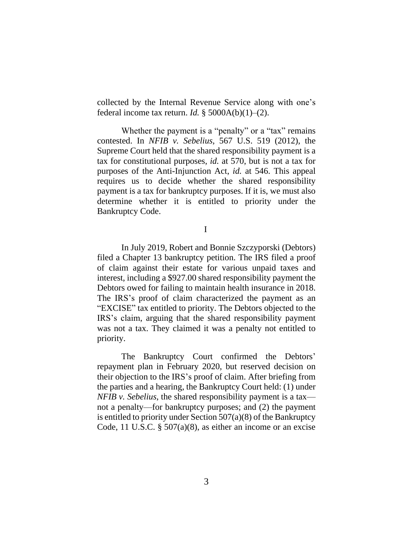collected by the Internal Revenue Service along with one's federal income tax return. *Id.* § 5000A(b)(1)–(2).

Whether the payment is a "penalty" or a "tax" remains contested. In *NFIB v. Sebelius*, 567 U.S. 519 (2012), the Supreme Court held that the shared responsibility payment is a tax for constitutional purposes, *id.* at 570, but is not a tax for purposes of the Anti-Injunction Act, *id.* at 546. This appeal requires us to decide whether the shared responsibility payment is a tax for bankruptcy purposes. If it is, we must also determine whether it is entitled to priority under the Bankruptcy Code.

I

In July 2019, Robert and Bonnie Szczyporski (Debtors) filed a Chapter 13 bankruptcy petition. The IRS filed a proof of claim against their estate for various unpaid taxes and interest, including a \$927.00 shared responsibility payment the Debtors owed for failing to maintain health insurance in 2018. The IRS's proof of claim characterized the payment as an "EXCISE" tax entitled to priority. The Debtors objected to the IRS's claim, arguing that the shared responsibility payment was not a tax. They claimed it was a penalty not entitled to priority.

The Bankruptcy Court confirmed the Debtors' repayment plan in February 2020, but reserved decision on their objection to the IRS's proof of claim. After briefing from the parties and a hearing, the Bankruptcy Court held: (1) under *NFIB v. Sebelius*, the shared responsibility payment is a tax not a penalty—for bankruptcy purposes; and (2) the payment is entitled to priority under Section 507(a)(8) of the Bankruptcy Code, 11 U.S.C. § 507(a)(8), as either an income or an excise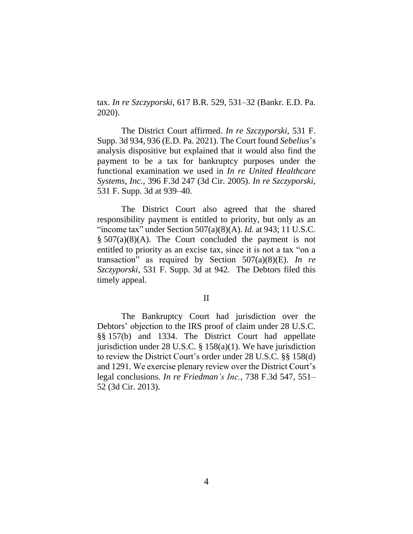tax. *In re Szczyporski*, 617 B.R. 529, 531–32 (Bankr. E.D. Pa. 2020).

The District Court affirmed. *In re Szczyporski*, 531 F. Supp. 3d 934, 936 (E.D. Pa. 2021). The Court found *Sebelius*'s analysis dispositive but explained that it would also find the payment to be a tax for bankruptcy purposes under the functional examination we used in *In re United Healthcare Systems, Inc.*, 396 F.3d 247 (3d Cir. 2005). *In re Szczyporski*, 531 F. Supp. 3d at 939–40.

The District Court also agreed that the shared responsibility payment is entitled to priority, but only as an "income tax" under Section 507(a)(8)(A). *Id.* at 943; 11 U.S.C. § 507(a)(8)(A). The Court concluded the payment is not entitled to priority as an excise tax, since it is not a tax "on a transaction" as required by Section 507(a)(8)(E). *In re Szczyporski*, 531 F. Supp. 3d at 942. The Debtors filed this timely appeal.

#### II

The Bankruptcy Court had jurisdiction over the Debtors' objection to the IRS proof of claim under 28 U.S.C. §§ 157(b) and 1334. The District Court had appellate jurisdiction under 28 U.S.C. § 158(a)(1). We have jurisdiction to review the District Court's order under 28 U.S.C. §§ 158(d) and 1291. We exercise plenary review over the District Court's legal conclusions. *In re Friedman's Inc.*, 738 F.3d 547, 551– 52 (3d Cir. 2013).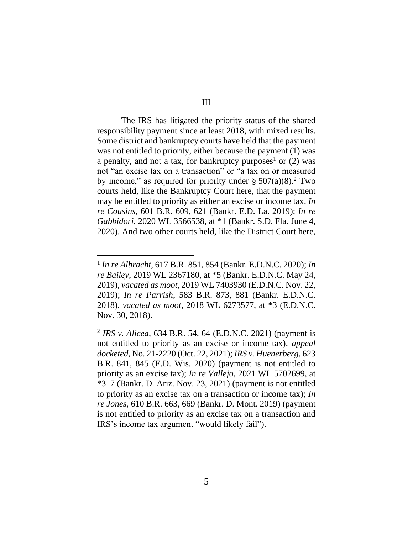The IRS has litigated the priority status of the shared responsibility payment since at least 2018, with mixed results. Some district and bankruptcy courts have held that the payment was not entitled to priority, either because the payment (1) was a penalty, and not a tax, for bankruptcy purposes<sup>1</sup> or  $(2)$  was not "an excise tax on a transaction" or "a tax on or measured by income," as required for priority under  $\S 507(a)(8)$ .<sup>2</sup> Two courts held, like the Bankruptcy Court here, that the payment may be entitled to priority as either an excise or income tax. *In re Cousins*, 601 B.R. 609, 621 (Bankr. E.D. La. 2019); *In re Gabbidori*, 2020 WL 3566538, at \*1 (Bankr. S.D. Fla. June 4, 2020). And two other courts held, like the District Court here,

<sup>1</sup> *In re Albracht*, 617 B.R. 851, 854 (Bankr. E.D.N.C. 2020); *In re Bailey*, 2019 WL 2367180, at \*5 (Bankr. E.D.N.C. May 24, 2019), *vacated as moot*, 2019 WL 7403930 (E.D.N.C. Nov. 22, 2019); *In re Parrish*, 583 B.R. 873, 881 (Bankr. E.D.N.C. 2018), *vacated as moot*, 2018 WL 6273577, at \*3 (E.D.N.C. Nov. 30, 2018).

<sup>2</sup> *IRS v. Alicea*, 634 B.R. 54, 64 (E.D.N.C. 2021) (payment is not entitled to priority as an excise or income tax), *appeal docketed*, No. 21-2220 (Oct. 22, 2021); *IRS v. Huenerberg*, 623 B.R. 841, 845 (E.D. Wis. 2020) (payment is not entitled to priority as an excise tax); *In re Vallejo*, 2021 WL 5702699, at \*3–7 (Bankr. D. Ariz. Nov. 23, 2021) (payment is not entitled to priority as an excise tax on a transaction or income tax); *In re Jones*, 610 B.R. 663, 669 (Bankr. D. Mont. 2019) (payment is not entitled to priority as an excise tax on a transaction and IRS's income tax argument "would likely fail").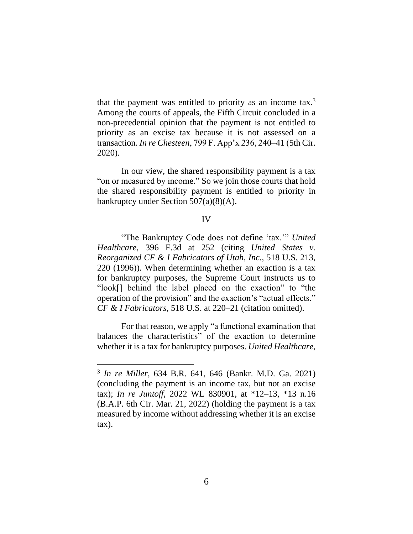that the payment was entitled to priority as an income  $\text{tax.}^3$ Among the courts of appeals, the Fifth Circuit concluded in a non-precedential opinion that the payment is not entitled to priority as an excise tax because it is not assessed on a transaction. *In re Chesteen*, 799 F. App'x 236, 240–41 (5th Cir. 2020).

In our view, the shared responsibility payment is a tax "on or measured by income." So we join those courts that hold the shared responsibility payment is entitled to priority in bankruptcy under Section 507(a)(8)(A).

### IV

"The Bankruptcy Code does not define 'tax.'" *United Healthcare*, 396 F.3d at 252 (citing *United States v. Reorganized CF & I Fabricators of Utah, Inc.*, 518 U.S. 213, 220 (1996)). When determining whether an exaction is a tax for bankruptcy purposes, the Supreme Court instructs us to "look[] behind the label placed on the exaction" to "the operation of the provision" and the exaction's "actual effects." *CF & I Fabricators*, 518 U.S. at 220–21 (citation omitted).

For that reason, we apply "a functional examination that balances the characteristics" of the exaction to determine whether it is a tax for bankruptcy purposes. *United Healthcare*,

<sup>3</sup> *In re Miller*, 634 B.R. 641, 646 (Bankr. M.D. Ga. 2021) (concluding the payment is an income tax, but not an excise tax); *In re Juntoff*, 2022 WL 830901, at \*12–13, \*13 n.16 (B.A.P. 6th Cir. Mar. 21, 2022) (holding the payment is a tax measured by income without addressing whether it is an excise tax).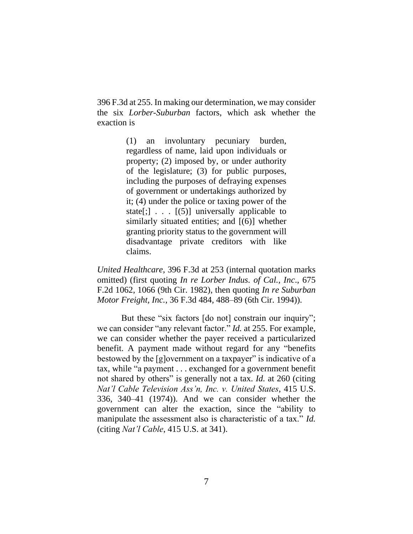396 F.3d at 255. In making our determination, we may consider the six *Lorber-Suburban* factors, which ask whether the exaction is

> (1) an involuntary pecuniary burden, regardless of name, laid upon individuals or property; (2) imposed by, or under authority of the legislature; (3) for public purposes, including the purposes of defraying expenses of government or undertakings authorized by it; (4) under the police or taxing power of the state[;]  $\ldots$  [(5)] universally applicable to similarly situated entities; and [(6)] whether granting priority status to the government will disadvantage private creditors with like claims.

*United Healthcare*, 396 F.3d at 253 (internal quotation marks omitted) (first quoting *In re Lorber Indus. of Cal., Inc*., 675 F.2d 1062, 1066 (9th Cir. 1982), then quoting *In re Suburban Motor Freight, Inc.*, 36 F.3d 484, 488–89 (6th Cir. 1994)).

But these "six factors [do not] constrain our inquiry"; we can consider "any relevant factor." *Id.* at 255. For example, we can consider whether the payer received a particularized benefit. A payment made without regard for any "benefits bestowed by the [g]overnment on a taxpayer" is indicative of a tax, while "a payment . . . exchanged for a government benefit not shared by others" is generally not a tax. *Id.* at 260 (citing *Nat'l Cable Television Ass'n, Inc. v. United States*, 415 U.S. 336, 340–41 (1974)). And we can consider whether the government can alter the exaction, since the "ability to manipulate the assessment also is characteristic of a tax." *Id.* (citing *Nat'l Cable*, 415 U.S. at 341).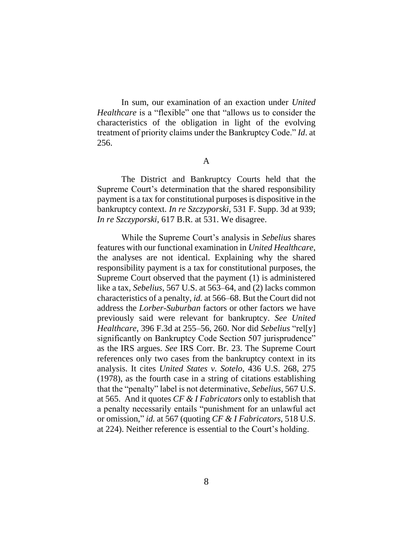In sum, our examination of an exaction under *United Healthcare* is a "flexible" one that "allows us to consider the characteristics of the obligation in light of the evolving treatment of priority claims under the Bankruptcy Code." *Id*. at 256.

A

The District and Bankruptcy Courts held that the Supreme Court's determination that the shared responsibility payment is a tax for constitutional purposes is dispositive in the bankruptcy context. *In re Szczyporski*, 531 F. Supp. 3d at 939; *In re Szczyporski*, 617 B.R. at 531. We disagree.

While the Supreme Court's analysis in *Sebelius* shares features with our functional examination in *United Healthcare*, the analyses are not identical. Explaining why the shared responsibility payment is a tax for constitutional purposes, the Supreme Court observed that the payment (1) is administered like a tax, *Sebelius*, 567 U.S. at 563–64, and (2) lacks common characteristics of a penalty, *id.* at 566–68. But the Court did not address the *Lorber-Suburban* factors or other factors we have previously said were relevant for bankruptcy. *See United Healthcare*, 396 F.3d at 255–56, 260. Nor did *Sebelius* "rel[y] significantly on Bankruptcy Code Section 507 jurisprudence" as the IRS argues. *See* IRS Corr. Br. 23. The Supreme Court references only two cases from the bankruptcy context in its analysis. It cites *United States v. Sotelo*, 436 U.S. 268, 275 (1978), as the fourth case in a string of citations establishing that the "penalty" label is not determinative, *Sebelius*, 567 U.S. at 565. And it quotes *CF & I Fabricators* only to establish that a penalty necessarily entails "punishment for an unlawful act or omission," *id.* at 567 (quoting *CF & I Fabricators*, 518 U.S. at 224). Neither reference is essential to the Court's holding.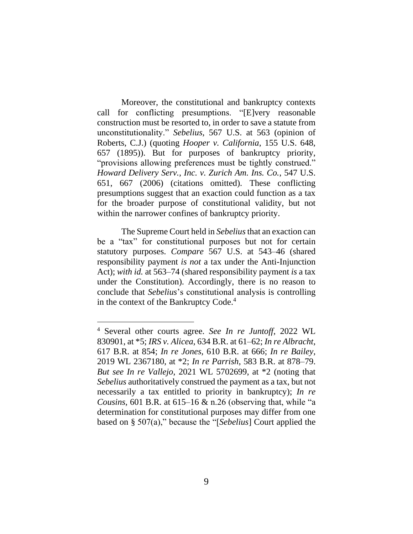Moreover, the constitutional and bankruptcy contexts call for conflicting presumptions. "[E]very reasonable construction must be resorted to, in order to save a statute from unconstitutionality." *Sebelius*, 567 U.S. at 563 (opinion of Roberts, C.J.) (quoting *Hooper v. California*, 155 U.S. 648, 657 (1895)). But for purposes of bankruptcy priority, "provisions allowing preferences must be tightly construed." *Howard Delivery Serv., Inc. v. Zurich Am. Ins. Co.*, 547 U.S. 651, 667 (2006) (citations omitted). These conflicting presumptions suggest that an exaction could function as a tax for the broader purpose of constitutional validity, but not within the narrower confines of bankruptcy priority.

The Supreme Court held in *Sebelius*that an exaction can be a "tax" for constitutional purposes but not for certain statutory purposes. *Compare* 567 U.S. at 543–46 (shared responsibility payment *is not* a tax under the Anti-Injunction Act); *with id.* at 563–74 (shared responsibility payment *is* a tax under the Constitution). Accordingly, there is no reason to conclude that *Sebelius*'s constitutional analysis is controlling in the context of the Bankruptcy Code. 4

<sup>4</sup> Several other courts agree. *See In re Juntoff*, 2022 WL 830901, at \*5; *IRS v. Alicea*, 634 B.R. at 61–62; *In re Albracht*, 617 B.R. at 854; *In re Jones*, 610 B.R. at 666; *In re Bailey*, 2019 WL 2367180, at \*2; *In re Parrish*, 583 B.R. at 878–79. *But see In re Vallejo*, 2021 WL 5702699, at \*2 (noting that *Sebelius* authoritatively construed the payment as a tax, but not necessarily a tax entitled to priority in bankruptcy); *In re Cousins*, 601 B.R. at 615–16 & n.26 (observing that, while "a determination for constitutional purposes may differ from one based on § 507(a)," because the "[*Sebelius*] Court applied the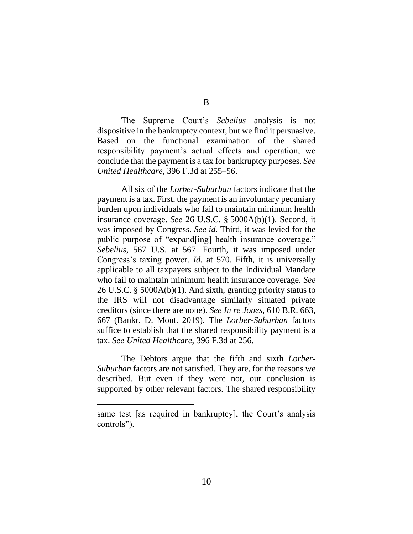B

The Supreme Court's *Sebelius* analysis is not dispositive in the bankruptcy context, but we find it persuasive. Based on the functional examination of the shared responsibility payment's actual effects and operation, we conclude that the payment is a tax for bankruptcy purposes. *See United Healthcare*, 396 F.3d at 255–56.

All six of the *Lorber-Suburban* factors indicate that the payment is a tax. First, the payment is an involuntary pecuniary burden upon individuals who fail to maintain minimum health insurance coverage. *See* 26 U.S.C. § 5000A(b)(1). Second, it was imposed by Congress. *See id.* Third, it was levied for the public purpose of "expand[ing] health insurance coverage." *Sebelius*, 567 U.S. at 567. Fourth, it was imposed under Congress's taxing power. *Id.* at 570. Fifth, it is universally applicable to all taxpayers subject to the Individual Mandate who fail to maintain minimum health insurance coverage. *See* 26 U.S.C. § 5000A(b)(1). And sixth, granting priority status to the IRS will not disadvantage similarly situated private creditors (since there are none). *See In re Jones*, 610 B.R. 663, 667 (Bankr. D. Mont. 2019). The *Lorber-Suburban* factors suffice to establish that the shared responsibility payment is a tax. *See United Healthcare*, 396 F.3d at 256.

The Debtors argue that the fifth and sixth *Lorber-Suburban* factors are not satisfied. They are, for the reasons we described. But even if they were not, our conclusion is supported by other relevant factors. The shared responsibility

same test [as required in bankruptcy], the Court's analysis controls").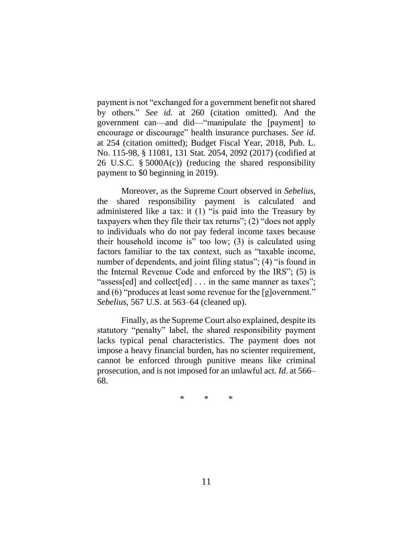payment is not "exchanged for a government benefit not shared by others." *See id.* at 260 (citation omitted). And the government can—and did—"manipulate the [payment] to encourage or discourage" health insurance purchases. *See id.* at 254 (citation omitted); Budget Fiscal Year, 2018, Pub. L. No. 115-98, § 11081, 131 Stat. 2054, 2092 (2017) (codified at 26 U.S.C. § 5000A(c)) (reducing the shared responsibility payment to \$0 beginning in 2019).

Moreover, as the Supreme Court observed in *Sebelius*, the shared responsibility payment is calculated and administered like a tax: it (1) "is paid into the Treasury by taxpayers when they file their tax returns"; (2) "does not apply to individuals who do not pay federal income taxes because their household income is" too low; (3) is calculated using factors familiar to the tax context, such as "taxable income, number of dependents, and joint filing status"; (4) "is found in the Internal Revenue Code and enforced by the IRS"; (5) is "assess[ed] and collect[ed] . . . in the same manner as taxes"; and (6) "produces at least some revenue for the [g]overnment." *Sebelius*, 567 U.S. at 563–64 (cleaned up).

Finally, as the Supreme Court also explained, despite its statutory "penalty" label, the shared responsibility payment lacks typical penal characteristics. The payment does not impose a heavy financial burden, has no scienter requirement, cannot be enforced through punitive means like criminal prosecution, and is not imposed for an unlawful act. *Id*. at 566– 68.

\* \* \*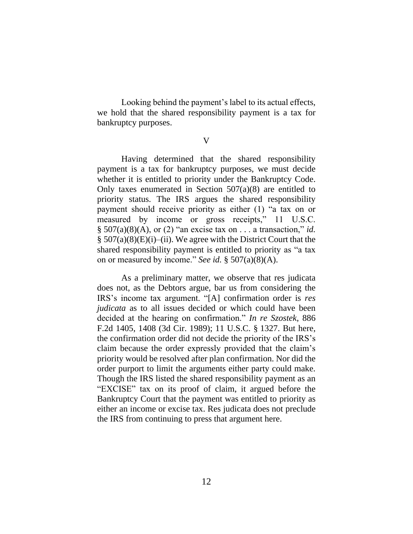Looking behind the payment's label to its actual effects, we hold that the shared responsibility payment is a tax for bankruptcy purposes.

V

Having determined that the shared responsibility payment is a tax for bankruptcy purposes, we must decide whether it is entitled to priority under the Bankruptcy Code. Only taxes enumerated in Section  $507(a)(8)$  are entitled to priority status. The IRS argues the shared responsibility payment should receive priority as either (1) "a tax on or measured by income or gross receipts," 11 U.S.C.  $\S$  507(a)(8)(A), or (2) "an excise tax on . . . a transaction," *id.*  $\S$  507(a)(8)(E)(i)–(ii). We agree with the District Court that the shared responsibility payment is entitled to priority as "a tax on or measured by income." *See id.* § 507(a)(8)(A).

As a preliminary matter, we observe that res judicata does not, as the Debtors argue, bar us from considering the IRS's income tax argument. "[A] confirmation order is *res judicata* as to all issues decided or which could have been decided at the hearing on confirmation." *In re Szostek*, 886 F.2d 1405, 1408 (3d Cir. 1989); 11 U.S.C. § 1327. But here, the confirmation order did not decide the priority of the IRS's claim because the order expressly provided that the claim's priority would be resolved after plan confirmation. Nor did the order purport to limit the arguments either party could make. Though the IRS listed the shared responsibility payment as an "EXCISE" tax on its proof of claim, it argued before the Bankruptcy Court that the payment was entitled to priority as either an income or excise tax. Res judicata does not preclude the IRS from continuing to press that argument here.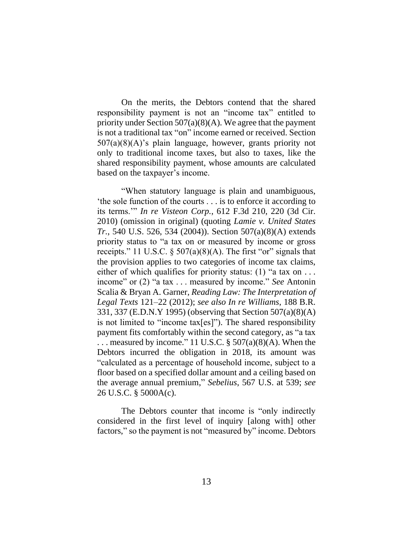On the merits, the Debtors contend that the shared responsibility payment is not an "income tax" entitled to priority under Section  $507(a)(8)(A)$ . We agree that the payment is not a traditional tax "on" income earned or received. Section 507(a)(8)(A)'s plain language, however, grants priority not only to traditional income taxes, but also to taxes, like the shared responsibility payment, whose amounts are calculated based on the taxpayer's income.

"When statutory language is plain and unambiguous, 'the sole function of the courts . . . is to enforce it according to its terms.'" *In re Visteon Corp.*, 612 F.3d 210, 220 (3d Cir. 2010) (omission in original) (quoting *Lamie v. United States Tr.*, 540 U.S. 526, 534 (2004)). Section 507(a)(8)(A) extends priority status to "a tax on or measured by income or gross receipts." 11 U.S.C.  $\S 507(a)(8)(A)$ . The first "or" signals that the provision applies to two categories of income tax claims, either of which qualifies for priority status: (1) "a tax on ... income" or (2) "a tax . . . measured by income." *See* Antonin Scalia & Bryan A. Garner, *Reading Law: The Interpretation of Legal Texts* 121–22 (2012); *see also In re Williams*, 188 B.R. 331, 337 (E.D.N.Y 1995) (observing that Section 507(a)(8)(A) is not limited to "income tax[es]"). The shared responsibility payment fits comfortably within the second category, as "a tax ... measured by income." 11 U.S.C.  $\S$  507(a)(8)(A). When the Debtors incurred the obligation in 2018, its amount was "calculated as a percentage of household income, subject to a floor based on a specified dollar amount and a ceiling based on the average annual premium," *Sebelius*, 567 U.S. at 539; *see*  26 U.S.C. § 5000A(c).

The Debtors counter that income is "only indirectly considered in the first level of inquiry [along with] other factors," so the payment is not "measured by" income. Debtors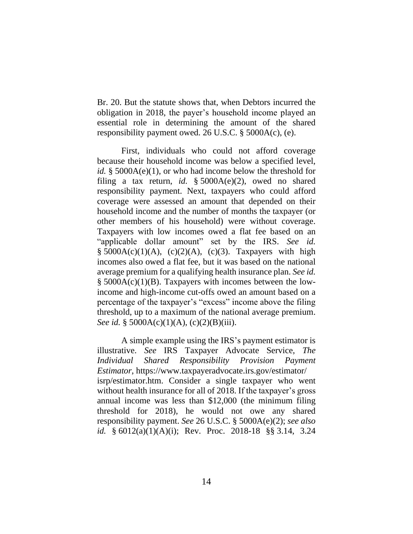Br. 20. But the statute shows that, when Debtors incurred the obligation in 2018, the payer's household income played an essential role in determining the amount of the shared responsibility payment owed. 26 U.S.C. § 5000A(c), (e).

First, individuals who could not afford coverage because their household income was below a specified level, *id.* § 5000A(e)(1), or who had income below the threshold for filing a tax return, *id.* § 5000A(e)(2), owed no shared responsibility payment. Next, taxpayers who could afford coverage were assessed an amount that depended on their household income and the number of months the taxpayer (or other members of his household) were without coverage. Taxpayers with low incomes owed a flat fee based on an "applicable dollar amount" set by the IRS. *See id.*  $§ 5000A(c)(1)(A), (c)(2)(A), (c)(3).$  Taxpayers with high incomes also owed a flat fee, but it was based on the national average premium for a qualifying health insurance plan. *See id.* § 5000A(c)(1)(B). Taxpayers with incomes between the lowincome and high-income cut-offs owed an amount based on a percentage of the taxpayer's "excess" income above the filing threshold, up to a maximum of the national average premium. *See id.* § 5000A(c)(1)(A), (c)(2)(B)(iii).

A simple example using the IRS's payment estimator is illustrative. *See* IRS Taxpayer Advocate Service, *The Individual Shared Responsibility Provision Payment Estimator*, https://www.taxpayeradvocate.irs.gov/estimator/ isrp/estimator.htm. Consider a single taxpayer who went without health insurance for all of 2018. If the taxpayer's gross annual income was less than \$12,000 (the minimum filing threshold for 2018), he would not owe any shared responsibility payment. *See* 26 U.S.C. § 5000A(e)(2); *see also id.* § 6012(a)(1)(A)(i); Rev. Proc. 2018-18 §§ 3.14, 3.24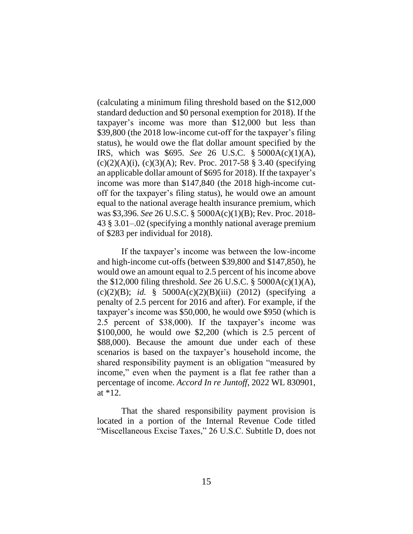(calculating a minimum filing threshold based on the \$12,000 standard deduction and \$0 personal exemption for 2018). If the taxpayer's income was more than \$12,000 but less than \$39,800 (the 2018 low-income cut-off for the taxpayer's filing status), he would owe the flat dollar amount specified by the IRS, which was \$695. *See* 26 U.S.C. § 5000A(c)(1)(A),  $(c)(2)(A)(i)$ ,  $(c)(3)(A)$ ; Rev. Proc. 2017-58 § 3.40 (specifying an applicable dollar amount of \$695 for 2018). If the taxpayer's income was more than \$147,840 (the 2018 high-income cutoff for the taxpayer's filing status), he would owe an amount equal to the national average health insurance premium, which was \$3,396. *See* 26 U.S.C. § 5000A(c)(1)(B); Rev. Proc. 2018- 43 § 3.01–.02 (specifying a monthly national average premium of \$283 per individual for 2018).

If the taxpayer's income was between the low-income and high-income cut-offs (between \$39,800 and \$147,850), he would owe an amount equal to 2.5 percent of his income above the \$12,000 filing threshold. *See* 26 U.S.C. § 5000A(c)(1)(A), (c)(2)(B); *id.* § 5000A(c)(2)(B)(iii) (2012) (specifying a penalty of 2.5 percent for 2016 and after). For example, if the taxpayer's income was \$50,000, he would owe \$950 (which is 2.5 percent of \$38,000). If the taxpayer's income was \$100,000, he would owe \$2,200 (which is 2.5 percent of \$88,000). Because the amount due under each of these scenarios is based on the taxpayer's household income, the shared responsibility payment is an obligation "measured by income," even when the payment is a flat fee rather than a percentage of income. *Accord In re Juntoff*, 2022 WL 830901, at \*12.

That the shared responsibility payment provision is located in a portion of the Internal Revenue Code titled "Miscellaneous Excise Taxes," 26 U.S.C. Subtitle D, does not